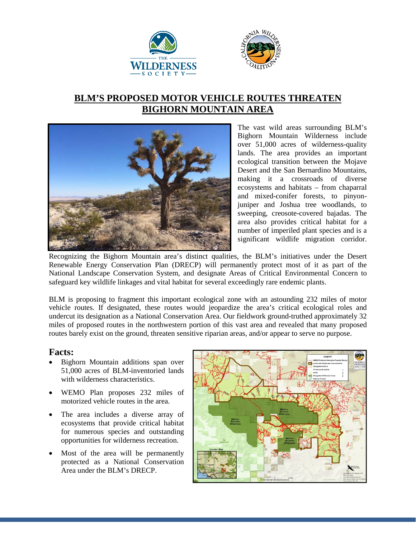



## **BLM'S PROPOSED MOTOR VEHICLE ROUTES THREATEN BIGHORN MOUNTAIN AREA**



The vast wild areas surrounding BLM's Bighorn Mountain Wilderness include over 51,000 acres of wilderness-quality lands. The area provides an important ecological transition between the Mojave Desert and the San Bernardino Mountains, making it a crossroads of diverse ecosystems and habitats – from chaparral and mixed-conifer forests, to pinyonjuniper and Joshua tree woodlands, to sweeping, creosote-covered bajadas. The area also provides critical habitat for a number of imperiled plant species and is a significant wildlife migration corridor.

Recognizing the Bighorn Mountain area's distinct qualities, the BLM's initiatives under the Desert Renewable Energy Conservation Plan (DRECP) will permanently protect most of it as part of the National Landscape Conservation System, and designate Areas of Critical Environmental Concern to safeguard key wildlife linkages and vital habitat for several exceedingly rare endemic plants.

BLM is proposing to fragment this important ecological zone with an astounding 232 miles of motor vehicle routes. If designated, these routes would jeopardize the area's critical ecological roles and undercut its designation as a National Conservation Area. Our fieldwork ground-truthed approximately 32 miles of proposed routes in the northwestern portion of this vast area and revealed that many proposed routes barely exist on the ground, threaten sensitive riparian areas, and/or appear to serve no purpose.

## **Facts:**

- Bighorn Mountain additions span over 51,000 acres of BLM-inventoried lands with wilderness characteristics.
- WEMO Plan proposes 232 miles of motorized vehicle routes in the area.
- The area includes a diverse array of ecosystems that provide critical habitat for numerous species and outstanding opportunities for wilderness recreation.
- Most of the area will be permanently protected as a National Conservation Area under the BLM's DRECP.